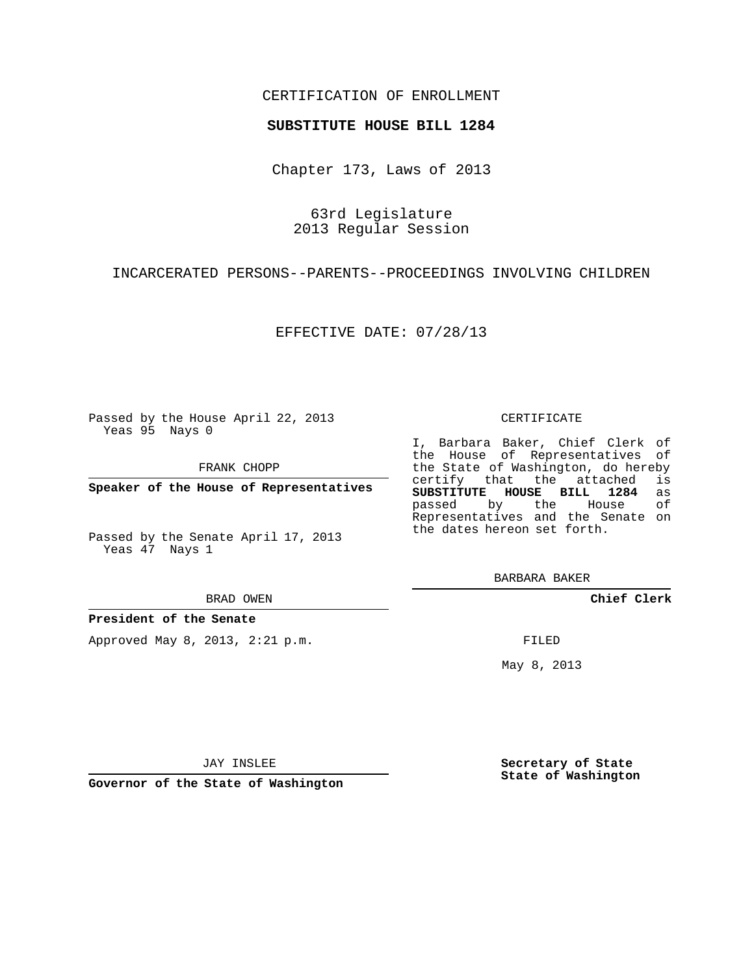# CERTIFICATION OF ENROLLMENT

### **SUBSTITUTE HOUSE BILL 1284**

Chapter 173, Laws of 2013

63rd Legislature 2013 Regular Session

INCARCERATED PERSONS--PARENTS--PROCEEDINGS INVOLVING CHILDREN

EFFECTIVE DATE: 07/28/13

Passed by the House April 22, 2013 Yeas 95 Nays 0

FRANK CHOPP

**Speaker of the House of Representatives**

Passed by the Senate April 17, 2013 Yeas 47 Nays 1

#### BRAD OWEN

#### **President of the Senate**

Approved May 8, 2013, 2:21 p.m.

#### CERTIFICATE

I, Barbara Baker, Chief Clerk of the House of Representatives of the State of Washington, do hereby<br>certify that the attached is certify that the attached **SUBSTITUTE HOUSE BILL 1284** as passed by the Representatives and the Senate on the dates hereon set forth.

BARBARA BAKER

**Chief Clerk**

FILED

May 8, 2013

**Secretary of State State of Washington**

JAY INSLEE

**Governor of the State of Washington**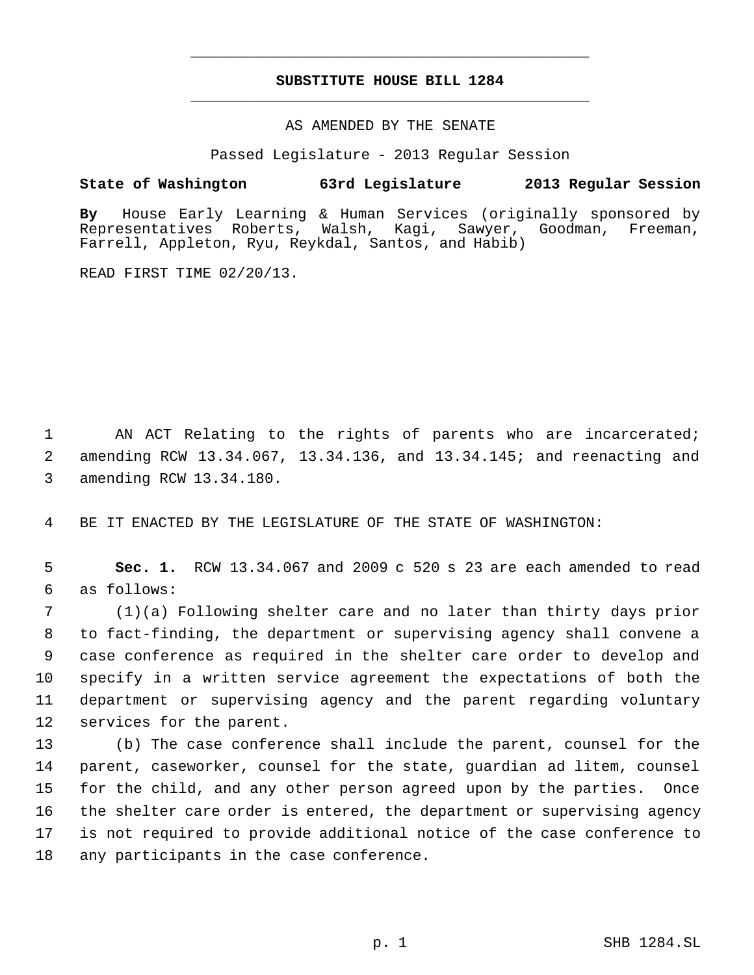# **SUBSTITUTE HOUSE BILL 1284** \_\_\_\_\_\_\_\_\_\_\_\_\_\_\_\_\_\_\_\_\_\_\_\_\_\_\_\_\_\_\_\_\_\_\_\_\_\_\_\_\_\_\_\_\_

\_\_\_\_\_\_\_\_\_\_\_\_\_\_\_\_\_\_\_\_\_\_\_\_\_\_\_\_\_\_\_\_\_\_\_\_\_\_\_\_\_\_\_\_\_

### AS AMENDED BY THE SENATE

Passed Legislature - 2013 Regular Session

# **State of Washington 63rd Legislature 2013 Regular Session**

**By** House Early Learning & Human Services (originally sponsored by Walsh, Kagi, Sawyer, Goodman, Freeman, Farrell, Appleton, Ryu, Reykdal, Santos, and Habib)

READ FIRST TIME 02/20/13.

1 AN ACT Relating to the rights of parents who are incarcerated; 2 amending RCW 13.34.067, 13.34.136, and 13.34.145; and reenacting and 3 amending RCW 13.34.180.

4 BE IT ENACTED BY THE LEGISLATURE OF THE STATE OF WASHINGTON:

 5 **Sec. 1.** RCW 13.34.067 and 2009 c 520 s 23 are each amended to read 6 as follows:

 (1)(a) Following shelter care and no later than thirty days prior to fact-finding, the department or supervising agency shall convene a case conference as required in the shelter care order to develop and specify in a written service agreement the expectations of both the department or supervising agency and the parent regarding voluntary services for the parent.

 (b) The case conference shall include the parent, counsel for the parent, caseworker, counsel for the state, guardian ad litem, counsel for the child, and any other person agreed upon by the parties. Once the shelter care order is entered, the department or supervising agency is not required to provide additional notice of the case conference to any participants in the case conference.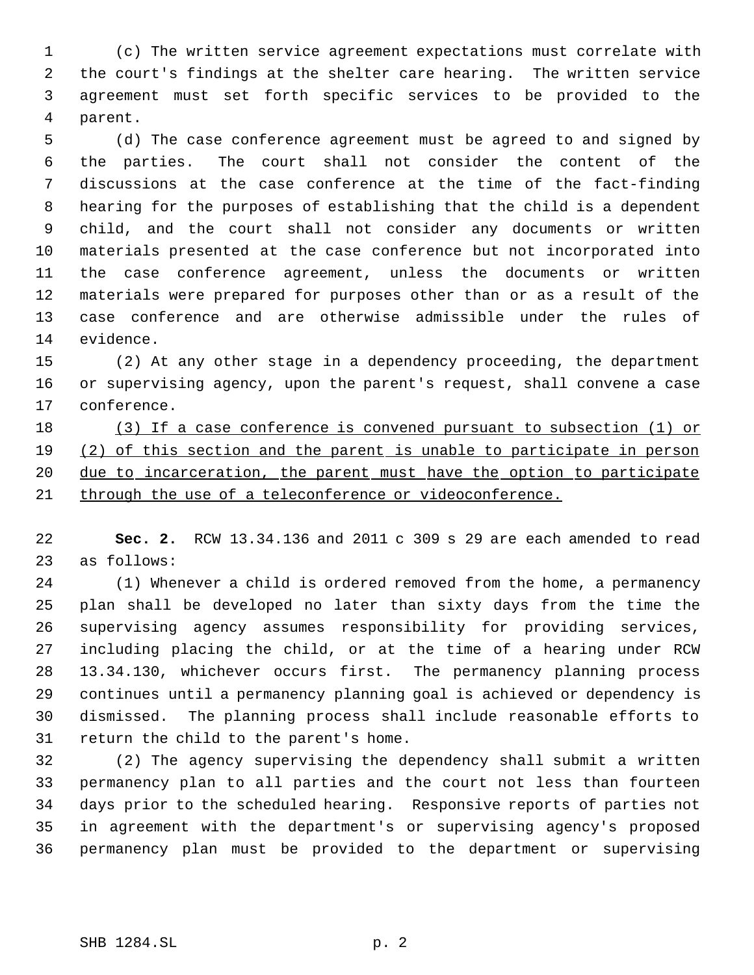(c) The written service agreement expectations must correlate with the court's findings at the shelter care hearing. The written service agreement must set forth specific services to be provided to the parent.

 (d) The case conference agreement must be agreed to and signed by the parties. The court shall not consider the content of the discussions at the case conference at the time of the fact-finding hearing for the purposes of establishing that the child is a dependent child, and the court shall not consider any documents or written materials presented at the case conference but not incorporated into the case conference agreement, unless the documents or written materials were prepared for purposes other than or as a result of the case conference and are otherwise admissible under the rules of evidence.

 (2) At any other stage in a dependency proceeding, the department or supervising agency, upon the parent's request, shall convene a case conference.

 (3) If a case conference is convened pursuant to subsection (1) or (2) of this section and the parent is unable to participate in person 20 due to incarceration, the parent must have the option to participate through the use of a teleconference or videoconference.

 **Sec. 2.** RCW 13.34.136 and 2011 c 309 s 29 are each amended to read as follows:

 (1) Whenever a child is ordered removed from the home, a permanency plan shall be developed no later than sixty days from the time the supervising agency assumes responsibility for providing services, including placing the child, or at the time of a hearing under RCW 13.34.130, whichever occurs first. The permanency planning process continues until a permanency planning goal is achieved or dependency is dismissed. The planning process shall include reasonable efforts to return the child to the parent's home.

 (2) The agency supervising the dependency shall submit a written permanency plan to all parties and the court not less than fourteen days prior to the scheduled hearing. Responsive reports of parties not in agreement with the department's or supervising agency's proposed permanency plan must be provided to the department or supervising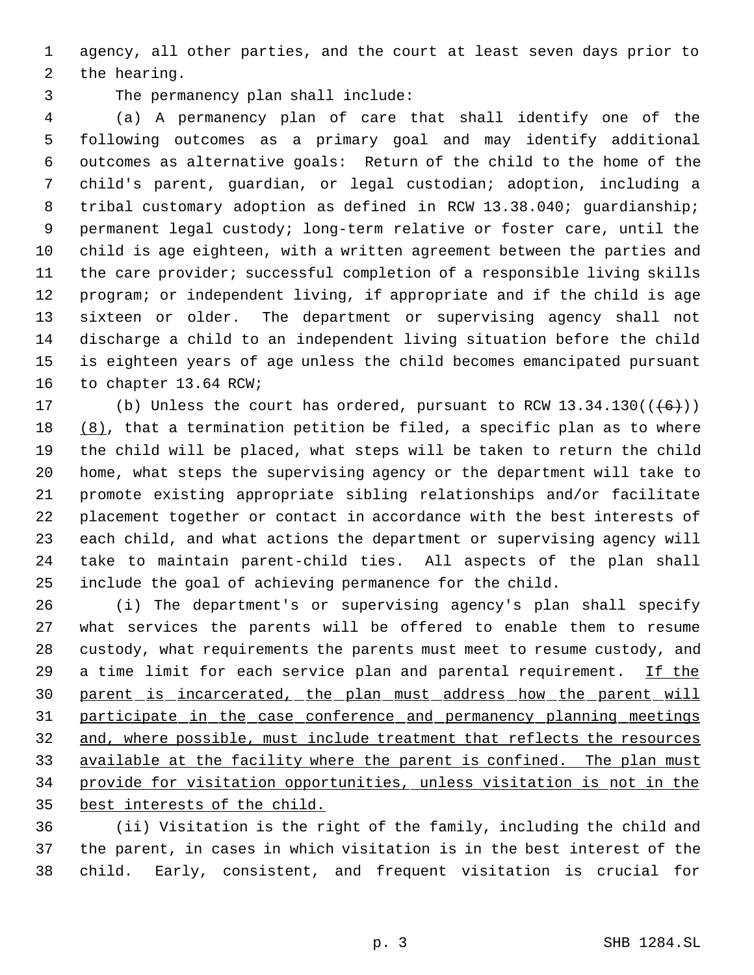agency, all other parties, and the court at least seven days prior to the hearing.

The permanency plan shall include:

 (a) A permanency plan of care that shall identify one of the following outcomes as a primary goal and may identify additional outcomes as alternative goals: Return of the child to the home of the child's parent, guardian, or legal custodian; adoption, including a tribal customary adoption as defined in RCW 13.38.040; guardianship; permanent legal custody; long-term relative or foster care, until the child is age eighteen, with a written agreement between the parties and the care provider; successful completion of a responsible living skills program; or independent living, if appropriate and if the child is age sixteen or older. The department or supervising agency shall not discharge a child to an independent living situation before the child is eighteen years of age unless the child becomes emancipated pursuant to chapter 13.64 RCW;

17 (b) Unless the court has ordered, pursuant to RCW  $13.34.130((\leftarrow\leftarrow\leftarrow))$  (8), that a termination petition be filed, a specific plan as to where the child will be placed, what steps will be taken to return the child home, what steps the supervising agency or the department will take to promote existing appropriate sibling relationships and/or facilitate placement together or contact in accordance with the best interests of each child, and what actions the department or supervising agency will take to maintain parent-child ties. All aspects of the plan shall include the goal of achieving permanence for the child.

 (i) The department's or supervising agency's plan shall specify what services the parents will be offered to enable them to resume custody, what requirements the parents must meet to resume custody, and 29 a time limit for each service plan and parental requirement. If the parent is incarcerated, the plan must address how the parent will participate in the case conference and permanency planning meetings and, where possible, must include treatment that reflects the resources 33 available at the facility where the parent is confined. The plan must provide for visitation opportunities, unless visitation is not in the best interests of the child.

 (ii) Visitation is the right of the family, including the child and the parent, in cases in which visitation is in the best interest of the child. Early, consistent, and frequent visitation is crucial for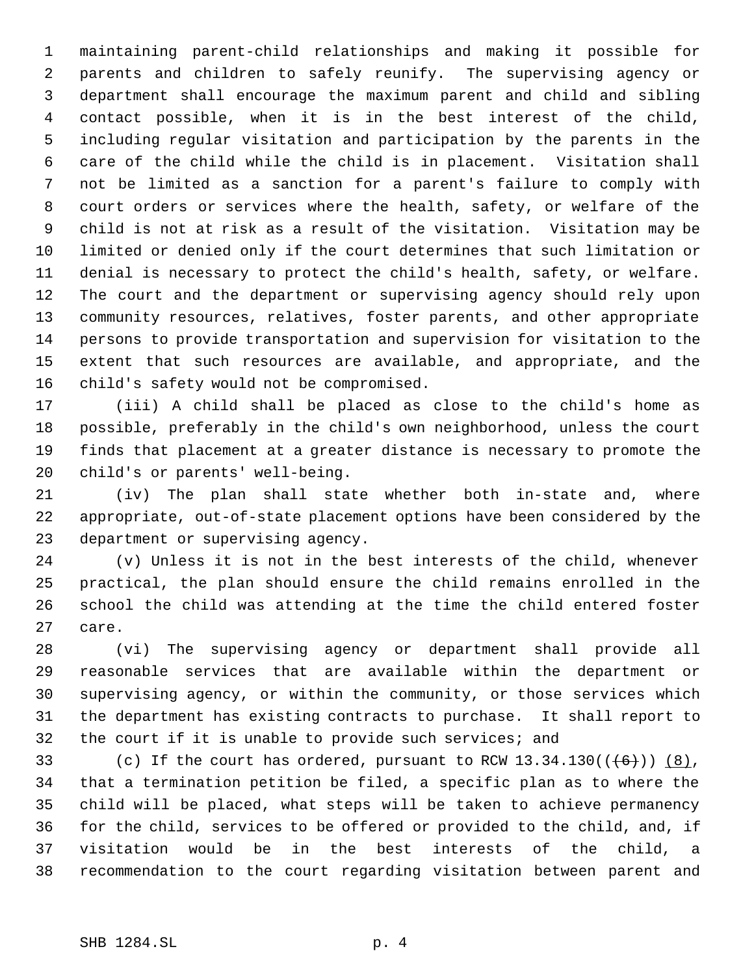maintaining parent-child relationships and making it possible for parents and children to safely reunify. The supervising agency or department shall encourage the maximum parent and child and sibling contact possible, when it is in the best interest of the child, including regular visitation and participation by the parents in the care of the child while the child is in placement. Visitation shall not be limited as a sanction for a parent's failure to comply with court orders or services where the health, safety, or welfare of the child is not at risk as a result of the visitation. Visitation may be limited or denied only if the court determines that such limitation or denial is necessary to protect the child's health, safety, or welfare. The court and the department or supervising agency should rely upon community resources, relatives, foster parents, and other appropriate persons to provide transportation and supervision for visitation to the extent that such resources are available, and appropriate, and the child's safety would not be compromised.

 (iii) A child shall be placed as close to the child's home as possible, preferably in the child's own neighborhood, unless the court finds that placement at a greater distance is necessary to promote the child's or parents' well-being.

 (iv) The plan shall state whether both in-state and, where appropriate, out-of-state placement options have been considered by the department or supervising agency.

 (v) Unless it is not in the best interests of the child, whenever practical, the plan should ensure the child remains enrolled in the school the child was attending at the time the child entered foster care.

 (vi) The supervising agency or department shall provide all reasonable services that are available within the department or supervising agency, or within the community, or those services which the department has existing contracts to purchase. It shall report to the court if it is unable to provide such services; and

33 (c) If the court has ordered, pursuant to RCW  $13.34.130((\overline{6})))$   $(8)$ , that a termination petition be filed, a specific plan as to where the child will be placed, what steps will be taken to achieve permanency for the child, services to be offered or provided to the child, and, if visitation would be in the best interests of the child, a recommendation to the court regarding visitation between parent and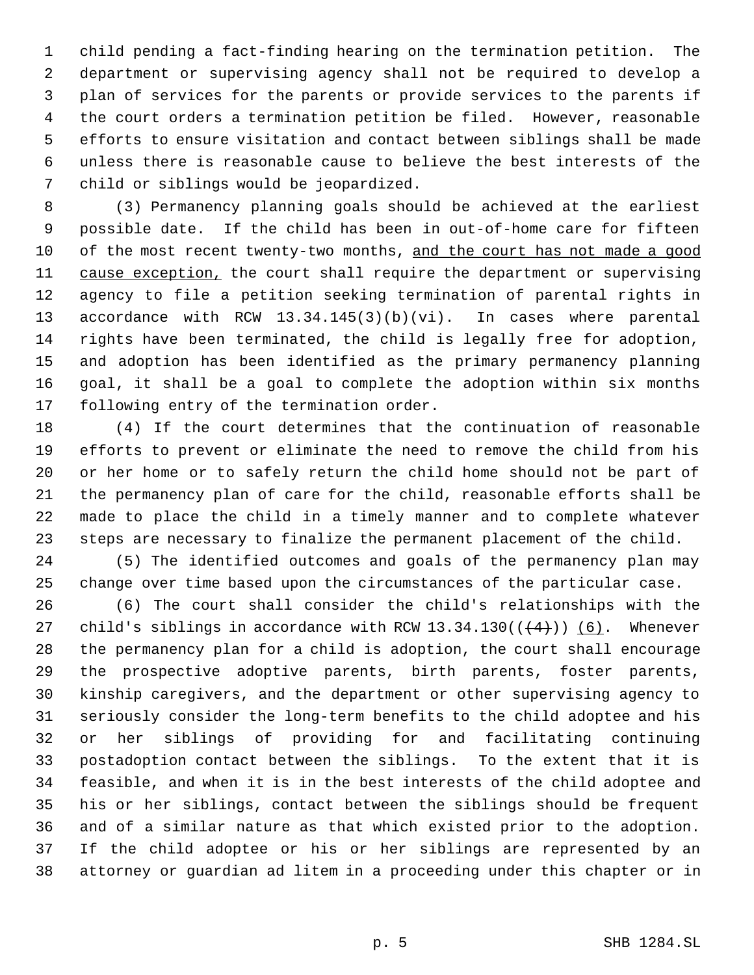child pending a fact-finding hearing on the termination petition. The department or supervising agency shall not be required to develop a plan of services for the parents or provide services to the parents if the court orders a termination petition be filed. However, reasonable efforts to ensure visitation and contact between siblings shall be made unless there is reasonable cause to believe the best interests of the child or siblings would be jeopardized.

 (3) Permanency planning goals should be achieved at the earliest possible date. If the child has been in out-of-home care for fifteen 10 of the most recent twenty-two months, and the court has not made a good 11 cause exception, the court shall require the department or supervising agency to file a petition seeking termination of parental rights in accordance with RCW 13.34.145(3)(b)(vi). In cases where parental rights have been terminated, the child is legally free for adoption, and adoption has been identified as the primary permanency planning goal, it shall be a goal to complete the adoption within six months following entry of the termination order.

 (4) If the court determines that the continuation of reasonable efforts to prevent or eliminate the need to remove the child from his or her home or to safely return the child home should not be part of the permanency plan of care for the child, reasonable efforts shall be made to place the child in a timely manner and to complete whatever steps are necessary to finalize the permanent placement of the child.

 (5) The identified outcomes and goals of the permanency plan may change over time based upon the circumstances of the particular case.

 (6) The court shall consider the child's relationships with the 27 child's siblings in accordance with RCW 13.34.130( $(\frac{4}{3})$ ) (6). Whenever the permanency plan for a child is adoption, the court shall encourage the prospective adoptive parents, birth parents, foster parents, kinship caregivers, and the department or other supervising agency to seriously consider the long-term benefits to the child adoptee and his or her siblings of providing for and facilitating continuing postadoption contact between the siblings. To the extent that it is feasible, and when it is in the best interests of the child adoptee and his or her siblings, contact between the siblings should be frequent and of a similar nature as that which existed prior to the adoption. If the child adoptee or his or her siblings are represented by an attorney or guardian ad litem in a proceeding under this chapter or in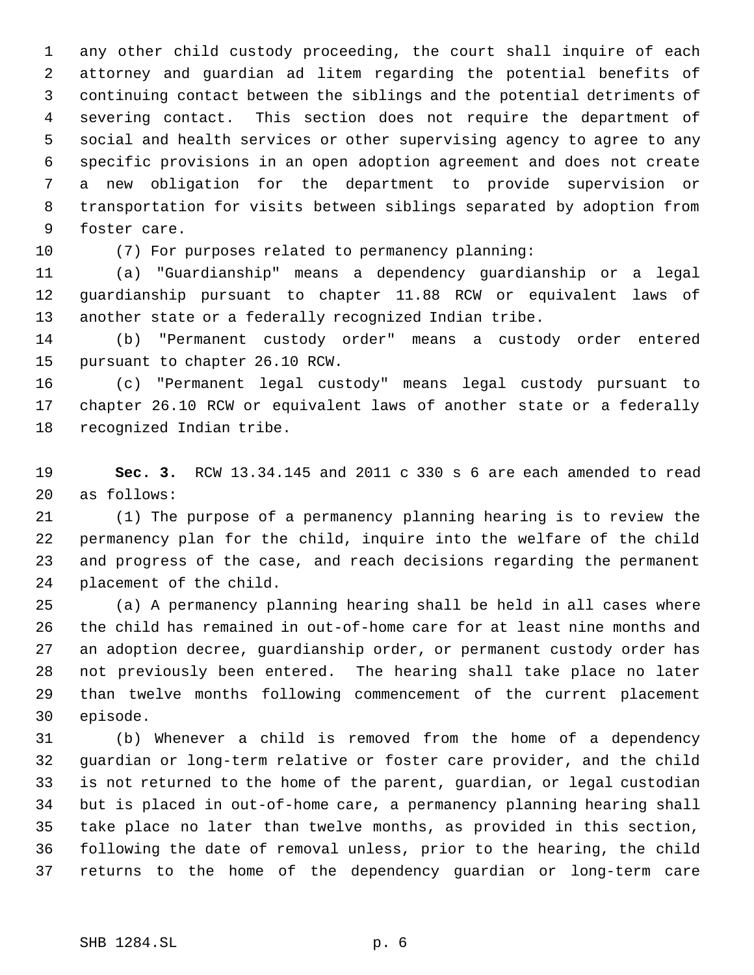any other child custody proceeding, the court shall inquire of each attorney and guardian ad litem regarding the potential benefits of continuing contact between the siblings and the potential detriments of severing contact. This section does not require the department of social and health services or other supervising agency to agree to any specific provisions in an open adoption agreement and does not create a new obligation for the department to provide supervision or transportation for visits between siblings separated by adoption from foster care.

(7) For purposes related to permanency planning:

 (a) "Guardianship" means a dependency guardianship or a legal guardianship pursuant to chapter 11.88 RCW or equivalent laws of another state or a federally recognized Indian tribe.

 (b) "Permanent custody order" means a custody order entered pursuant to chapter 26.10 RCW.

 (c) "Permanent legal custody" means legal custody pursuant to chapter 26.10 RCW or equivalent laws of another state or a federally recognized Indian tribe.

 **Sec. 3.** RCW 13.34.145 and 2011 c 330 s 6 are each amended to read as follows:

 (1) The purpose of a permanency planning hearing is to review the permanency plan for the child, inquire into the welfare of the child and progress of the case, and reach decisions regarding the permanent placement of the child.

 (a) A permanency planning hearing shall be held in all cases where the child has remained in out-of-home care for at least nine months and an adoption decree, guardianship order, or permanent custody order has not previously been entered. The hearing shall take place no later than twelve months following commencement of the current placement episode.

 (b) Whenever a child is removed from the home of a dependency guardian or long-term relative or foster care provider, and the child is not returned to the home of the parent, guardian, or legal custodian but is placed in out-of-home care, a permanency planning hearing shall take place no later than twelve months, as provided in this section, following the date of removal unless, prior to the hearing, the child returns to the home of the dependency guardian or long-term care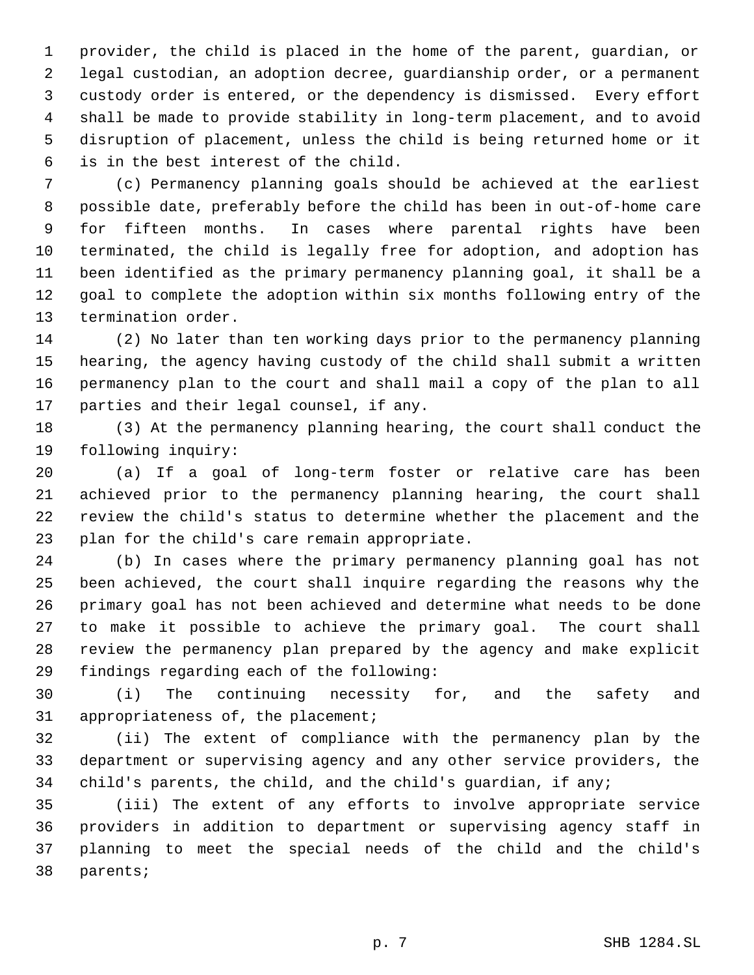provider, the child is placed in the home of the parent, guardian, or legal custodian, an adoption decree, guardianship order, or a permanent custody order is entered, or the dependency is dismissed. Every effort shall be made to provide stability in long-term placement, and to avoid disruption of placement, unless the child is being returned home or it is in the best interest of the child.

 (c) Permanency planning goals should be achieved at the earliest possible date, preferably before the child has been in out-of-home care for fifteen months. In cases where parental rights have been terminated, the child is legally free for adoption, and adoption has been identified as the primary permanency planning goal, it shall be a goal to complete the adoption within six months following entry of the termination order.

 (2) No later than ten working days prior to the permanency planning hearing, the agency having custody of the child shall submit a written permanency plan to the court and shall mail a copy of the plan to all parties and their legal counsel, if any.

 (3) At the permanency planning hearing, the court shall conduct the following inquiry:

 (a) If a goal of long-term foster or relative care has been achieved prior to the permanency planning hearing, the court shall review the child's status to determine whether the placement and the plan for the child's care remain appropriate.

 (b) In cases where the primary permanency planning goal has not been achieved, the court shall inquire regarding the reasons why the primary goal has not been achieved and determine what needs to be done to make it possible to achieve the primary goal. The court shall review the permanency plan prepared by the agency and make explicit findings regarding each of the following:

 (i) The continuing necessity for, and the safety and appropriateness of, the placement;

 (ii) The extent of compliance with the permanency plan by the department or supervising agency and any other service providers, the child's parents, the child, and the child's guardian, if any;

 (iii) The extent of any efforts to involve appropriate service providers in addition to department or supervising agency staff in planning to meet the special needs of the child and the child's parents;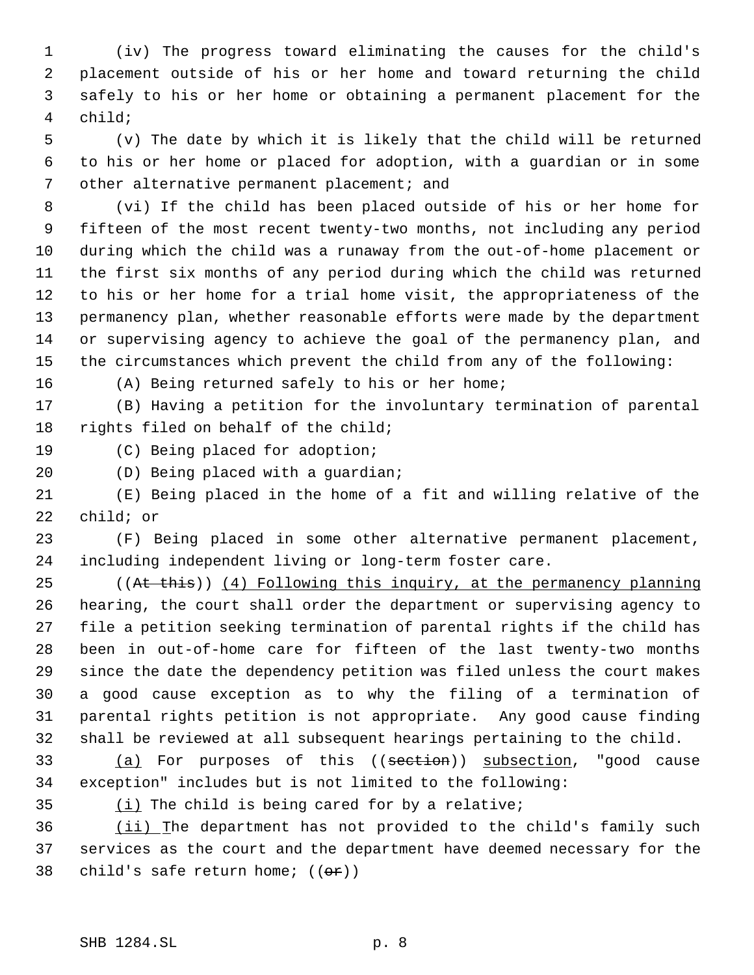(iv) The progress toward eliminating the causes for the child's placement outside of his or her home and toward returning the child safely to his or her home or obtaining a permanent placement for the child;

 (v) The date by which it is likely that the child will be returned to his or her home or placed for adoption, with a guardian or in some other alternative permanent placement; and

 (vi) If the child has been placed outside of his or her home for fifteen of the most recent twenty-two months, not including any period during which the child was a runaway from the out-of-home placement or the first six months of any period during which the child was returned to his or her home for a trial home visit, the appropriateness of the permanency plan, whether reasonable efforts were made by the department or supervising agency to achieve the goal of the permanency plan, and the circumstances which prevent the child from any of the following:

(A) Being returned safely to his or her home;

 (B) Having a petition for the involuntary termination of parental rights filed on behalf of the child;

(C) Being placed for adoption;

(D) Being placed with a guardian;

 (E) Being placed in the home of a fit and willing relative of the child; or

 (F) Being placed in some other alternative permanent placement, including independent living or long-term foster care.

25 ((At this)) (4) Following this inquiry, at the permanency planning hearing, the court shall order the department or supervising agency to file a petition seeking termination of parental rights if the child has been in out-of-home care for fifteen of the last twenty-two months since the date the dependency petition was filed unless the court makes a good cause exception as to why the filing of a termination of parental rights petition is not appropriate. Any good cause finding shall be reviewed at all subsequent hearings pertaining to the child.

33 (a) For purposes of this ((section)) subsection, "good cause exception" includes but is not limited to the following:

 $(i)$  The child is being cared for by a relative;

36 (ii) The department has not provided to the child's family such services as the court and the department have deemed necessary for the 38 child's safe return home;  $((e^x))$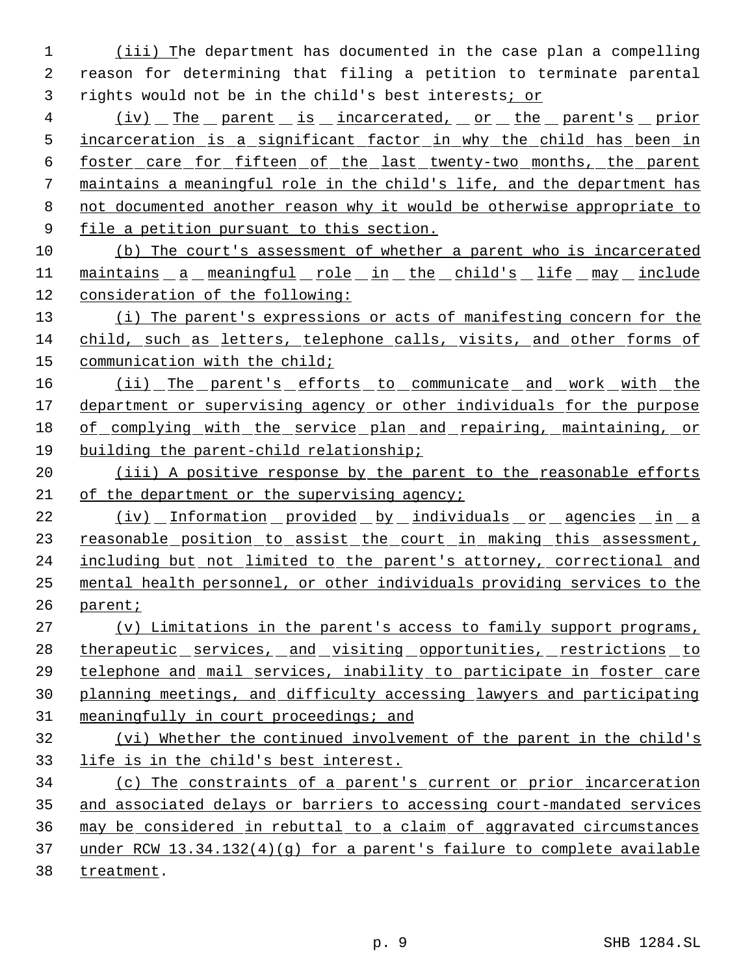(iii) The department has documented in the case plan a compelling reason for determining that filing a petition to terminate parental rights would not be in the child's best interests; or

4 (iv) The parent is incarcerated, or the parent's prior incarceration is a significant factor in why the child has been in foster care for fifteen of the last twenty-two months, the parent maintains a meaningful role in the child's life, and the department has not documented another reason why it would be otherwise appropriate to 9 file a petition pursuant to this section.

 (b) The court's assessment of whether a parent who is incarcerated 11 maintains a meaningful role in the child's life may include consideration of the following:

13 (i) The parent's expressions or acts of manifesting concern for the child, such as letters, telephone calls, visits, and other forms of communication with the child;

16 (ii) The parent's efforts to communicate and work with the department or supervising agency or other individuals for the purpose of complying with the service plan and repairing, maintaining, or building the parent-child relationship;

20 (iii) A positive response by the parent to the reasonable efforts 21 of the department or the supervising agency;

22 (iv) Information provided by individuals or agencies in a 23 reasonable position to assist the court in making this assessment, 24 including but not limited to the parent's attorney, correctional and mental health personnel, or other individuals providing services to the parent;

 (v) Limitations in the parent's access to family support programs, 28 therapeutic services, and visiting opportunities, restrictions to telephone and mail services, inability to participate in foster care planning meetings, and difficulty accessing lawyers and participating meaningfully in court proceedings; and (vi) Whether the continued involvement of the parent in the child's life is in the child's best interest.

 (c) The constraints of a parent's current or prior incarceration and associated delays or barriers to accessing court-mandated services may be considered in rebuttal to a claim of aggravated circumstances under RCW 13.34.132(4)(g) for a parent's failure to complete available treatment.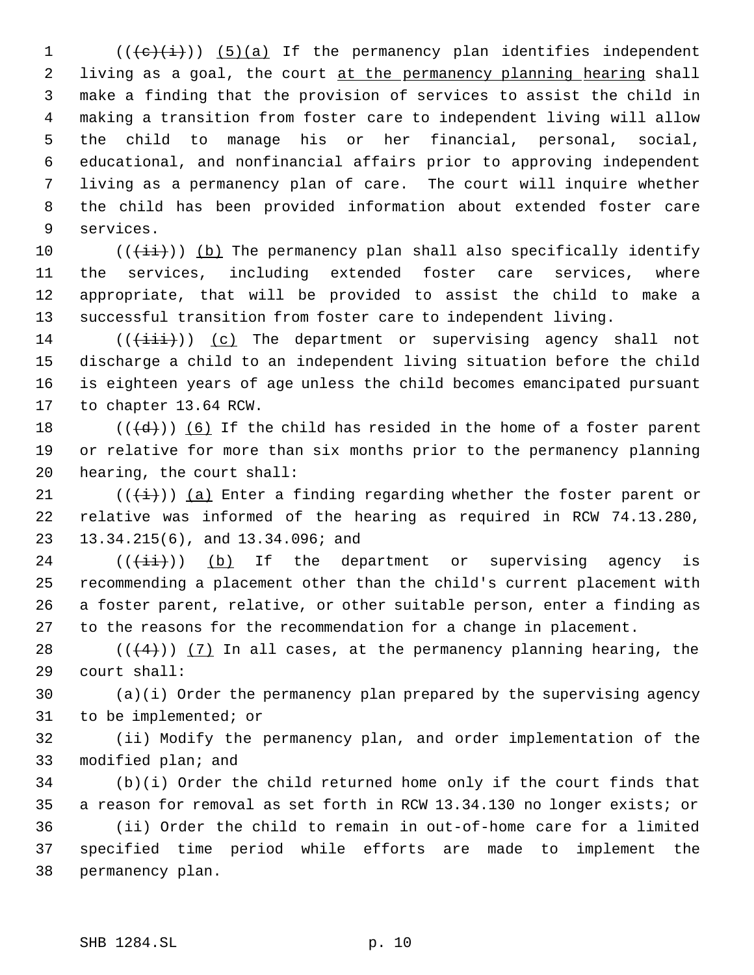(( $\left(\frac{1}{2}, \frac{1}{2}\right)$ ) (5)(a) If the permanency plan identifies independent 2 living as a goal, the court at the permanency planning hearing shall make a finding that the provision of services to assist the child in making a transition from foster care to independent living will allow the child to manage his or her financial, personal, social, educational, and nonfinancial affairs prior to approving independent living as a permanency plan of care. The court will inquire whether the child has been provided information about extended foster care services.

 $((\overrightarrow{\pm i}))$  (b) The permanency plan shall also specifically identify the services, including extended foster care services, where appropriate, that will be provided to assist the child to make a successful transition from foster care to independent living.

14 ( $(\{\pm i\}\})$  (c) The department or supervising agency shall not discharge a child to an independent living situation before the child is eighteen years of age unless the child becomes emancipated pursuant to chapter 13.64 RCW.

18  $((\{d\})$  (6) If the child has resided in the home of a foster parent or relative for more than six months prior to the permanency planning hearing, the court shall:

21 ( $(\frac{1}{1})$ ) (a) Enter a finding regarding whether the foster parent or relative was informed of the hearing as required in RCW 74.13.280, 13.34.215(6), and 13.34.096; and

 (( $(\overrightarrow{\pm i})$ ) (b) If the department or supervising agency is recommending a placement other than the child's current placement with a foster parent, relative, or other suitable person, enter a finding as to the reasons for the recommendation for a change in placement.

28  $((+4))$   $(7)$  In all cases, at the permanency planning hearing, the court shall:

 (a)(i) Order the permanency plan prepared by the supervising agency to be implemented; or

 (ii) Modify the permanency plan, and order implementation of the modified plan; and

 (b)(i) Order the child returned home only if the court finds that a reason for removal as set forth in RCW 13.34.130 no longer exists; or (ii) Order the child to remain in out-of-home care for a limited specified time period while efforts are made to implement the permanency plan.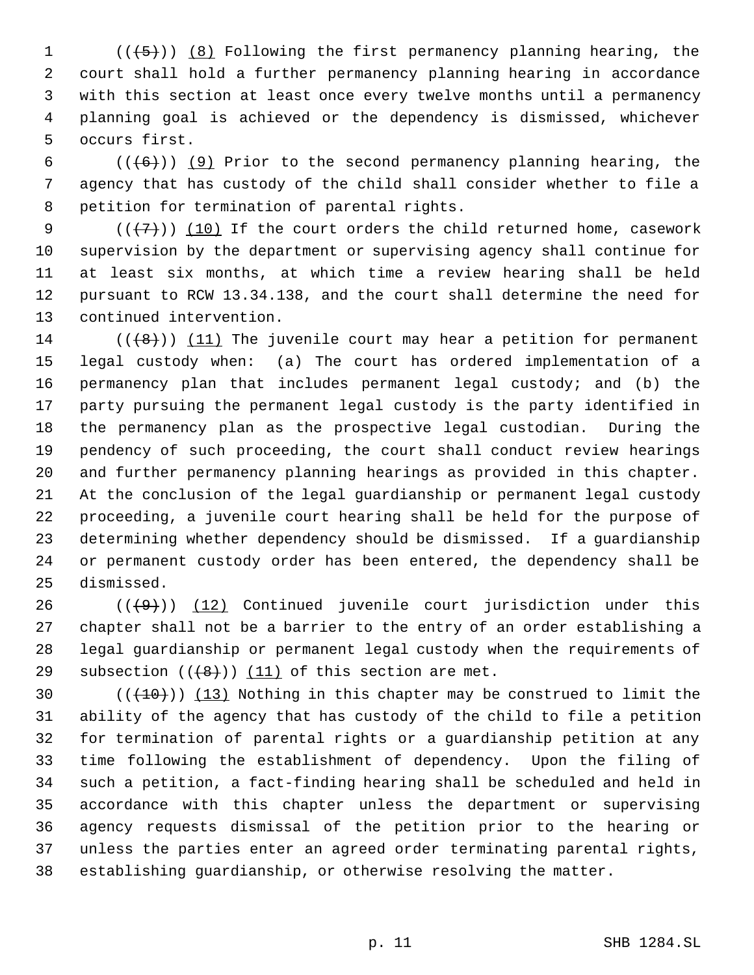$((+5))$  (8) Following the first permanency planning hearing, the court shall hold a further permanency planning hearing in accordance with this section at least once every twelve months until a permanency planning goal is achieved or the dependency is dismissed, whichever occurs first.

6 ( $(\overline{6})$ ) (9) Prior to the second permanency planning hearing, the agency that has custody of the child shall consider whether to file a petition for termination of parental rights.

 $((+7))$  (10) If the court orders the child returned home, casework supervision by the department or supervising agency shall continue for at least six months, at which time a review hearing shall be held pursuant to RCW 13.34.138, and the court shall determine the need for continued intervention.

14 ( $(\langle 8 \rangle)$ ) (11) The juvenile court may hear a petition for permanent legal custody when: (a) The court has ordered implementation of a permanency plan that includes permanent legal custody; and (b) the party pursuing the permanent legal custody is the party identified in the permanency plan as the prospective legal custodian. During the pendency of such proceeding, the court shall conduct review hearings and further permanency planning hearings as provided in this chapter. At the conclusion of the legal guardianship or permanent legal custody proceeding, a juvenile court hearing shall be held for the purpose of determining whether dependency should be dismissed. If a guardianship or permanent custody order has been entered, the dependency shall be dismissed.

 $((+9))$   $(12)$  Continued juvenile court jurisdiction under this chapter shall not be a barrier to the entry of an order establishing a legal guardianship or permanent legal custody when the requirements of 29 subsection  $((+8+))$  (11) of this section are met.

 $((+10))$   $(13)$  Nothing in this chapter may be construed to limit the ability of the agency that has custody of the child to file a petition for termination of parental rights or a guardianship petition at any time following the establishment of dependency. Upon the filing of such a petition, a fact-finding hearing shall be scheduled and held in accordance with this chapter unless the department or supervising agency requests dismissal of the petition prior to the hearing or unless the parties enter an agreed order terminating parental rights, establishing guardianship, or otherwise resolving the matter.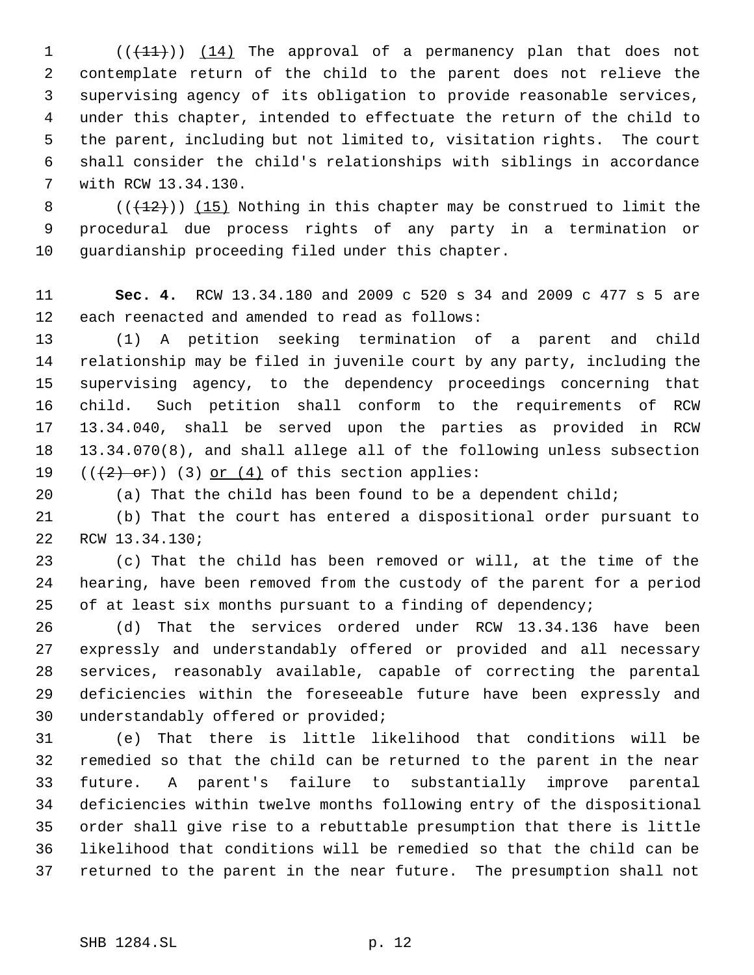1 (( $(11)$ )) (14) The approval of a permanency plan that does not contemplate return of the child to the parent does not relieve the supervising agency of its obligation to provide reasonable services, under this chapter, intended to effectuate the return of the child to the parent, including but not limited to, visitation rights. The court shall consider the child's relationships with siblings in accordance with RCW 13.34.130.

8  $((+12))$   $(15)$  Nothing in this chapter may be construed to limit the procedural due process rights of any party in a termination or guardianship proceeding filed under this chapter.

 **Sec. 4.** RCW 13.34.180 and 2009 c 520 s 34 and 2009 c 477 s 5 are each reenacted and amended to read as follows:

 (1) A petition seeking termination of a parent and child relationship may be filed in juvenile court by any party, including the supervising agency, to the dependency proceedings concerning that child. Such petition shall conform to the requirements of RCW 13.34.040, shall be served upon the parties as provided in RCW 13.34.070(8), and shall allege all of the following unless subsection  $((+2)$  or)) (3) or (4) of this section applies:

(a) That the child has been found to be a dependent child;

 (b) That the court has entered a dispositional order pursuant to RCW 13.34.130;

 (c) That the child has been removed or will, at the time of the hearing, have been removed from the custody of the parent for a period 25 of at least six months pursuant to a finding of dependency;

 (d) That the services ordered under RCW 13.34.136 have been expressly and understandably offered or provided and all necessary services, reasonably available, capable of correcting the parental deficiencies within the foreseeable future have been expressly and understandably offered or provided;

 (e) That there is little likelihood that conditions will be remedied so that the child can be returned to the parent in the near future. A parent's failure to substantially improve parental deficiencies within twelve months following entry of the dispositional order shall give rise to a rebuttable presumption that there is little likelihood that conditions will be remedied so that the child can be returned to the parent in the near future. The presumption shall not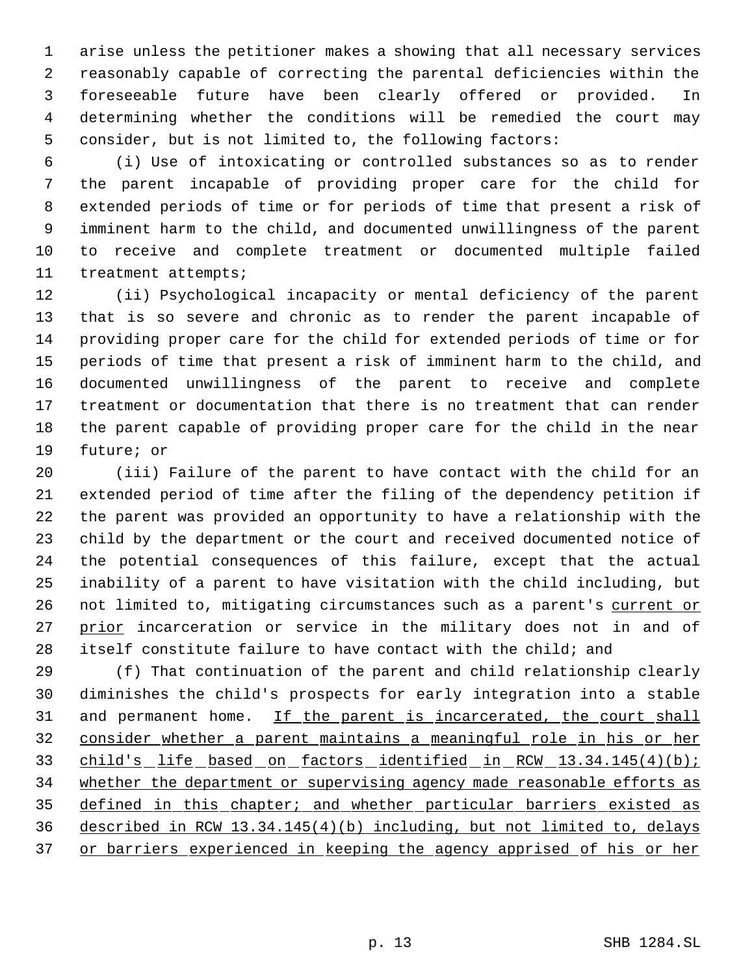arise unless the petitioner makes a showing that all necessary services reasonably capable of correcting the parental deficiencies within the foreseeable future have been clearly offered or provided. In determining whether the conditions will be remedied the court may consider, but is not limited to, the following factors:

 (i) Use of intoxicating or controlled substances so as to render the parent incapable of providing proper care for the child for extended periods of time or for periods of time that present a risk of imminent harm to the child, and documented unwillingness of the parent to receive and complete treatment or documented multiple failed treatment attempts;

 (ii) Psychological incapacity or mental deficiency of the parent that is so severe and chronic as to render the parent incapable of providing proper care for the child for extended periods of time or for periods of time that present a risk of imminent harm to the child, and documented unwillingness of the parent to receive and complete treatment or documentation that there is no treatment that can render the parent capable of providing proper care for the child in the near future; or

 (iii) Failure of the parent to have contact with the child for an extended period of time after the filing of the dependency petition if the parent was provided an opportunity to have a relationship with the child by the department or the court and received documented notice of the potential consequences of this failure, except that the actual inability of a parent to have visitation with the child including, but 26 not limited to, mitigating circumstances such as a parent's current or 27 prior incarceration or service in the military does not in and of itself constitute failure to have contact with the child; and

 (f) That continuation of the parent and child relationship clearly diminishes the child's prospects for early integration into a stable 31 and permanent home. If the parent is incarcerated, the court shall consider whether a parent maintains a meaningful role in his or her 33 child's life based on factors identified in RCW 13.34.145(4)(b); 34 whether the department or supervising agency made reasonable efforts as defined in this chapter; and whether particular barriers existed as described in RCW 13.34.145(4)(b) including, but not limited to, delays 37 or barriers experienced in keeping the agency apprised of his or her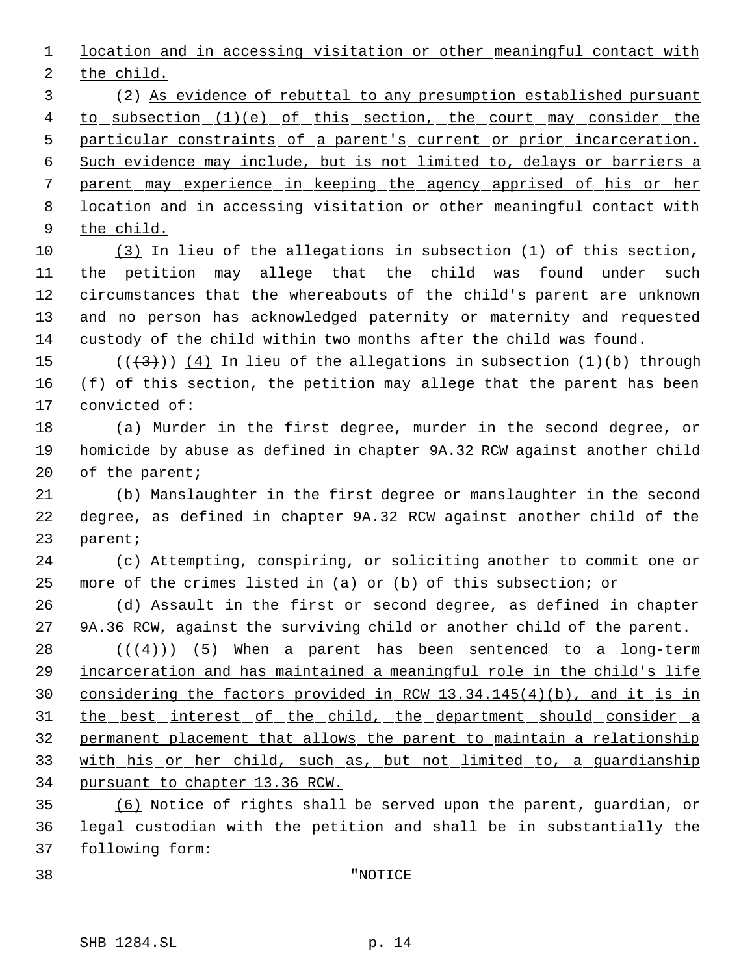location and in accessing visitation or other meaningful contact with the child.

 (2) As evidence of rebuttal to any presumption established pursuant 4 to subsection (1)(e) of this section, the court may consider the particular constraints of a parent's current or prior incarceration. Such evidence may include, but is not limited to, delays or barriers a parent may experience in keeping the agency apprised of his or her location and in accessing visitation or other meaningful contact with the child.

 (3) In lieu of the allegations in subsection (1) of this section, the petition may allege that the child was found under such circumstances that the whereabouts of the child's parent are unknown and no person has acknowledged paternity or maternity and requested custody of the child within two months after the child was found.

15 ( $(\frac{43}{1})$ )  $(4)$  In lieu of the allegations in subsection (1)(b) through (f) of this section, the petition may allege that the parent has been convicted of:

 (a) Murder in the first degree, murder in the second degree, or homicide by abuse as defined in chapter 9A.32 RCW against another child 20 of the parent;

 (b) Manslaughter in the first degree or manslaughter in the second degree, as defined in chapter 9A.32 RCW against another child of the parent;

 (c) Attempting, conspiring, or soliciting another to commit one or more of the crimes listed in (a) or (b) of this subsection; or

 (d) Assault in the first or second degree, as defined in chapter 9A.36 RCW, against the surviving child or another child of the parent.

28 (( $(4)$ )) (5) When a parent has been sentenced to a long-term 29 incarceration and has maintained a meaningful role in the child's life considering the factors provided in RCW 13.34.145(4)(b), and it is in 31 the best interest of the child, the department should consider a permanent placement that allows the parent to maintain a relationship with his or her child, such as, but not limited to, a guardianship pursuant to chapter 13.36 RCW.

 (6) Notice of rights shall be served upon the parent, guardian, or legal custodian with the petition and shall be in substantially the following form:

"NOTICE